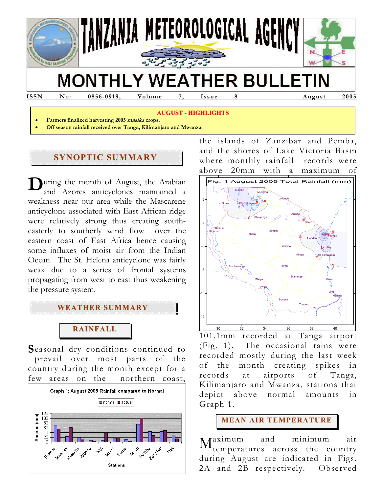

**ISSN No: 0856-0919, Volume 7, Issue 8 August 2005** 

### **AUGUST - HIGHLIGHTS**

- **Farmers finalized harvesting 2005 masika crops.**
- **Off season rainfall received over Tanga, Kilimanjaro and Mwanza.**

# **SYNOPTIC SUMMARY**

During the month of August, the Arabian<br>and Azores anticyclones maintained a and Azores anticyclones maintained a weakness near our area while the Mascarene anticyclone associated with East African ridge were relatively strong thus creating southeasterly to southerly wind flow over the eastern coast of East Africa hence causing some influxes of moist air from the Indian Ocean. The St. Helena anticyclone was fairly weak due to a series of frontal systems propagating from west to east thus weakening the pressure system.



# **RAINFALL**

Seasonal dry conditions continued to prevail over most parts of the country during the month except for a few areas on the northern coast,



the islands of Zanzibar and Pemba, and the shores of Lake Victoria Basin where monthly rainfall records were above 20mm with a maximum of



<sup>101.1</sup>mm recorded at Tanga airport (Fig. 1). The occasional rains were recorded mostly during the last week of the month creating spikes in records at airports of Tanga, Kilimanjaro and Mwanza, stations that depict above normal amounts in Graph 1.

**MEAN AIR TEMPERATURE**

aximum and minimum air temperatures across the country during August are indicated in Figs. 2A and 2B respectively. Observed M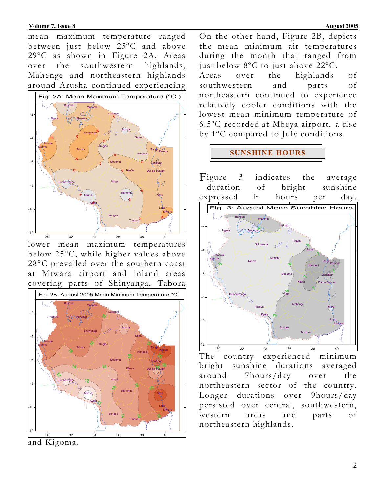### **Volume 7, Issue 8** August 2005

mean maximum temperature ranged between just below 25ºC and above 29ºC as shown in Figure 2A. Areas over the southwestern highlands, Mahenge and northeastern highlands around Arusha continued experiencing



lower mean maximum temperatures below 25°C, while higher values above 28°C prevailed over the southern coast at Mtwara airport and inland areas covering parts of Shinyanga, Tabora



and Kigoma.

On the other hand, Figure 2B, depicts the mean minimum air temperatures during the month that ranged from just below 8ºC to just above 22ºC.

Areas over the highlands of southwestern and parts of northeastern continued to experience relatively cooler conditions with the lowest mean minimum temperature of 6.5ºC recorded at Mbeya airport, a rise by 1ºC compared to July conditions.

## **SUNSHINE HOURS**

3 indicates the average duration of bright sunshine expressed in hours per day. Figure



The country experienced minimum bright sunshine durations averaged around 7hours/day over the northeastern sector of the country. Longer durations over 9hours/day persisted over central, southwestern, western areas and parts of northeastern highlands.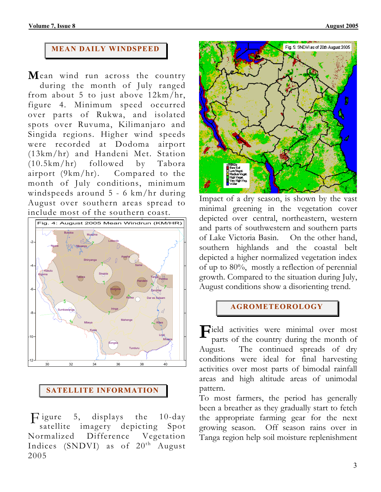## **MEAN DAILY WINDSPEED**

Mean wind run across the country during the month of July ranged from about 5 to just above 12km/hr, figure 4. Minimum speed occurred over parts of Rukwa, and isolated spots over Ruvuma, Kilimanjaro and Singida regions. Higher wind speeds were recorded at Dodoma airport (13km/hr) and Handeni Met. Station (10.5km/hr) followed by Tabora airport (9km/hr). Compared to the month of July conditions, minimum windspeeds around 5 - 6 km/hr during August over southern areas spread to include most of the southern coast.





Figure 5, displays the 10-day satellite imagery depicting Spot Normalized Difference Vegetation Indices (SNDVI) as of 20<sup>th</sup> August 2005



Impact of a dry season, is shown by the vast minimal greening in the vegetation cover depicted over central, northeastern, western and parts of southwestern and southern parts of Lake Victoria Basin. On the other hand, southern highlands and the coastal belt depicted a higher normalized vegetation index of up to 80%, mostly a reflection of perennial growth. Compared to the situation during July, August conditions show a disorienting trend.

## **AGROMETEOROLOGY**

 $\mathbf{F}$ ield activities were minimal over most parts of the country during the month of parts of the country during the month of August. The continued spreads of dry conditions were ideal for final harvesting activities over most parts of bimodal rainfall areas and high altitude areas of unimodal pattern.

To most farmers, the period has generally been a breather as they gradually start to fetch the appropriate farming gear for the next growing season. Off season rains over in Tanga region help soil moisture replenishment